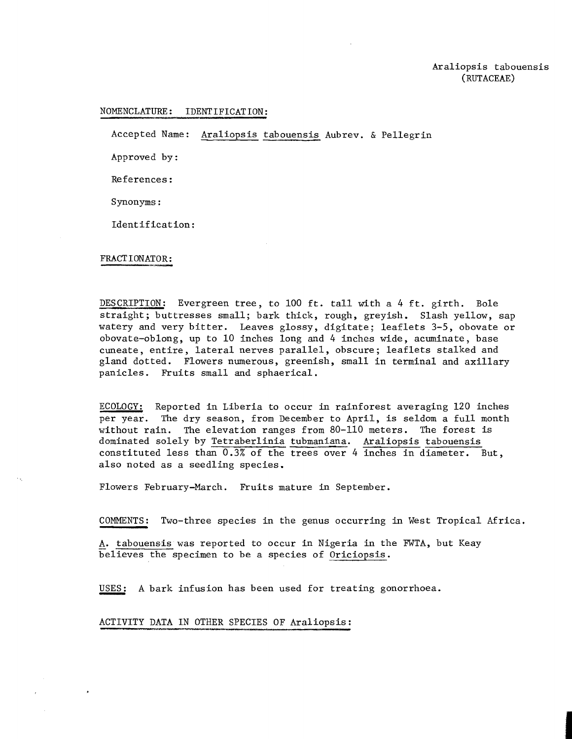## NOMENCLATURE: IDENTIFICATION:

Accepted Name: <u>Araliopsis</u> tabouensis Aubrev. & Pellegrin

Approved by:

References :

Synonyms :

Identification :

## FRACTIONATOR:

 $\bullet$ 

DESCRIPTION: Evergreen tree, to 100 ft. tall with a 4 ft. girth. Bole straight; buttresses small; bark thick, rough, greyish. Slash yellow, sap watery and very bitter. Leaves glossy, digitate; leaflets 3-5, obovate or obovate-oblong, up to 10 inches long and 4 inches wide, acuminate, base cuneate, entire, lateral nerves parallel, obscure; leaflets stalked and gland dotted. Flowers numerous, greenish, small in terminal and axillary panicles. Fruits small and sphaerical.

ECOLOGY: Reported in Liberia to occur in rainforest averaging 120 inches per year. The dry season, from December to April, is seldom a full month without rain. The elevation ranges from 80-110 meters. The forest is dominated solely by Tetraberlinia tubmaniana. Araliopsis tabouensis constituted less than 0.3% of the trees over 4 inches in diameter. But, also noted as a seedling species.

Flowers February-March. Fruits mature in September.

COMMENTS: Two-three species in the genus occurring in West Tropical Africa.

A. tabouensis was reported to occur in Nigeria in the FWTA, but Keay believes the specimen to be a species of Oriciopsis . COMMENTS: Two-three species in the genus occurring in West T<br>A. tabouensis was reported to occur in Nigeria in the FWTA, b<br>believes the specimen to be a species of <u>Oriciopsis</u>.<br>USES: A bark infusion has been used for trea

ACTIVITY DATA IN OTHER SPECIES OF Araliopsis: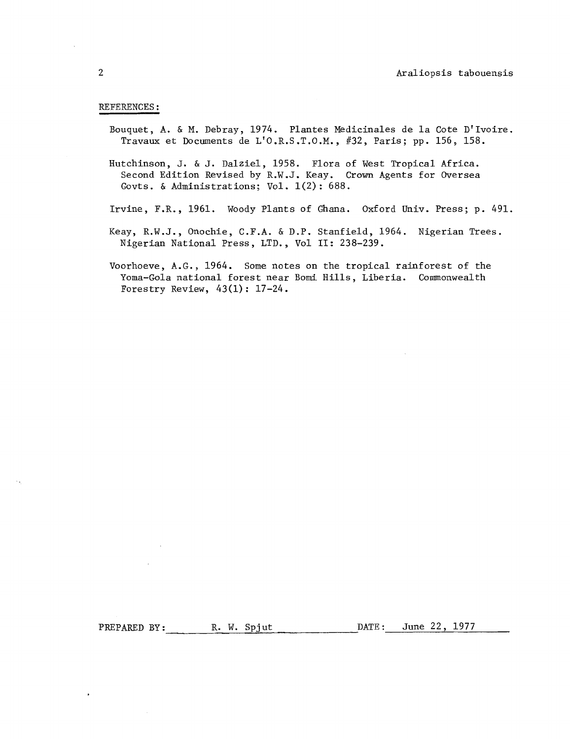## REFERENCES :

- Bouquet, A. & M. Debray, 1974. Plantes Medicinales de la Cote D'Ivoire. Travaux et Documents de L'O.R.S.T.O.M., #32, Paris; pp. 156, 158.
- Hutchinson, J. & J. Dalziel, 1958. Flora of West Tropical Africa. Second Edition Revised by R.W.J. Keay. Crown Agents for Oversea Govts. & Administrations; Vol.  $1(2)$ : 688.
- Irvine, F.R., 1961. Woody Plants of Ghana. Oxford Univ. Press; p. 491.
- Keay, R.W.J., Onochie, C.F.A. & D.P. Stanfield, 1964. Nigerian Trees. Nigerian National Press, LTD., Vol 11: 238-239.
- Voorhoeve, A.G., 1964. Some notes on the tropical rainforest of the Yoma-Gola national forest near Bomi Hills, Liberia. Commonwealth Forestry Review,  $43(1)$ : 17-24.

 $\bullet$ 

PREPARED BY: R. W. Spjut DATE: June 22, 1977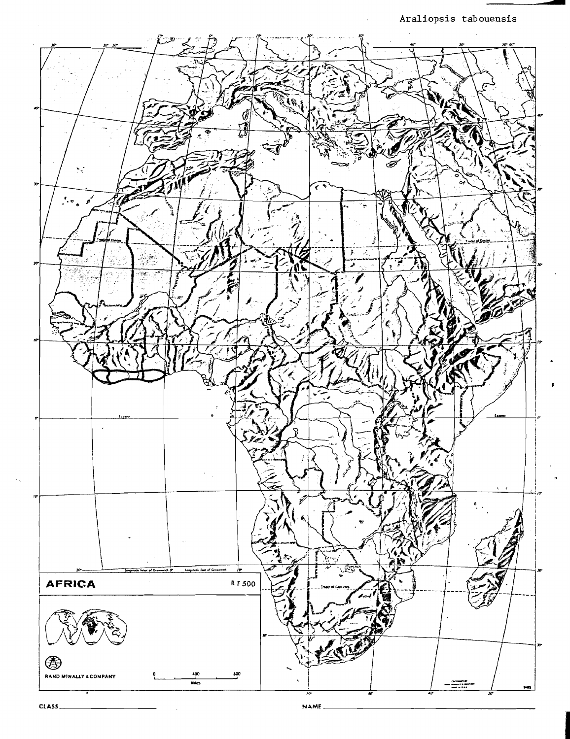**Araliopsis tabouensis** 



NAME\_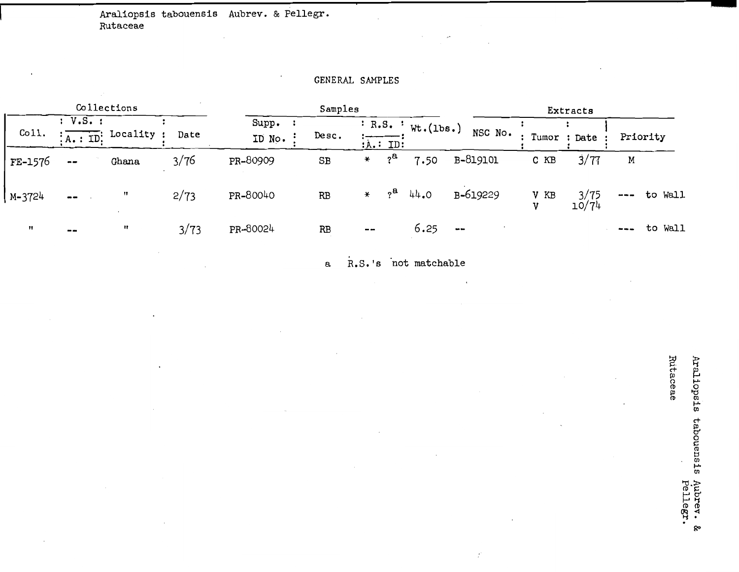**1 Araliopsis tabouensis Aubrev.** & **Pellegr. Rutaceae** 

## GENERAL SAMPLES

| Collections       |                              |                                  |      | Samples         |                  |                            |                    |                | Extracts  |               |                          |  |
|-------------------|------------------------------|----------------------------------|------|-----------------|------------------|----------------------------|--------------------|----------------|-----------|---------------|--------------------------|--|
| $C011$ .          | : V.S. :                     | $\frac{1}{2}$ A.: ID: Locality : | Date | Supp.<br>ID No. | $_{\text{Dec.}}$ | : A. : ID:                 | : R.S. : Wt.(1bs.) | NSC No.        |           | Tumor : Date  | Priority                 |  |
| FE-1576           | $\qquad \qquad \blacksquare$ | Ghana                            | 3/76 | PR-80909        | SB               | $2^{\alpha}$<br>₩          | 7.50               | B-819101       | C KB      | 3/77          | М                        |  |
| M-3724            | $\overline{\phantom{m}}$     | $^{\bullet}$                     | 2/73 | PR-80040        | RB               | $2^{\mathbf{a}}$<br>$\ast$ | 44.0               | B-619229       | V KB<br>v | 3/75<br>10/74 | to Wall<br>$\frac{1}{2}$ |  |
| $^{\prime\prime}$ | $\sim$ $\sim$                | 11                               | 3/73 | PR-80024        | RB               | $\sim$ $\sim$              | 6.25               | $\blacksquare$ |           |               | to Wall<br>---           |  |

**a R.S. Is 'not matchable** 

 $\mathcal{A}$ 

 $\ddot{\phantom{a}}$ 

Araliopsis tabouensis Aubrev. &<br>Pellegr.

Rutaceae